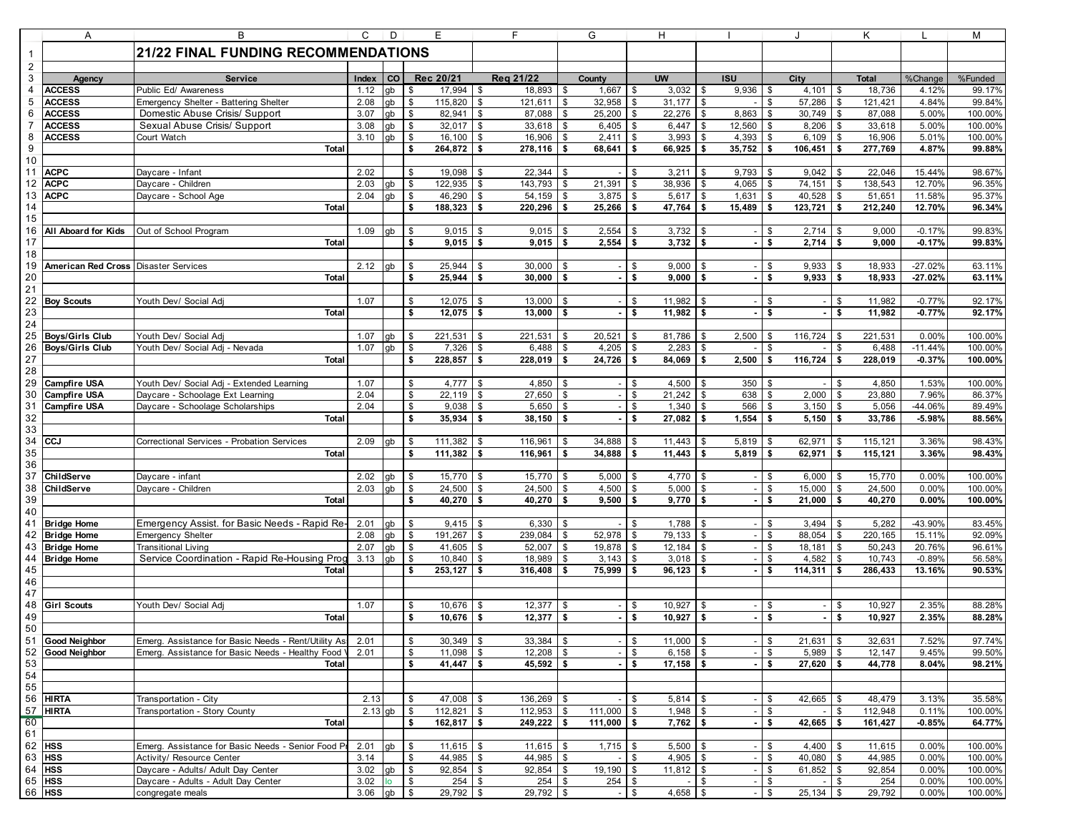|                | Α                                                                         | B                                                               | C             | D            | Е                   |                          |                          |          | G                        | H                                  |             |                      |                 |                            | Κ                 |                | М                  |
|----------------|---------------------------------------------------------------------------|-----------------------------------------------------------------|---------------|--------------|---------------------|--------------------------|--------------------------|----------|--------------------------|------------------------------------|-------------|----------------------|-----------------|----------------------------|-------------------|----------------|--------------------|
| $\mathbf{1}$   |                                                                           | <b>21/22 FINAL FUNDING RECOMMENDATIONS</b>                      |               |              |                     |                          |                          |          |                          |                                    |             |                      |                 |                            |                   |                |                    |
| $\overline{2}$ |                                                                           |                                                                 |               |              |                     |                          |                          |          |                          |                                    |             |                      |                 |                            |                   |                |                    |
| $\sqrt{3}$     | Agency                                                                    | <b>Service</b>                                                  | Index         | co           | Rec 20/21           |                          | Reg 21/22                |          | County                   | <b>UW</b>                          |             | <b>ISU</b>           |                 | City                       | <b>Total</b>      | %Change        | %Funded            |
| $\overline{4}$ | <b>ACCESS</b>                                                             | Public Ed/ Awareness                                            | 1.12          | gb           | 17,994<br>\$        |                          | 18,893<br>\$             | \$       | 1,667                    | 3,032<br>\$                        |             | 9,936<br><b>\$</b>   | \$              | 4,101                      | 18,736<br>\$      | 4.12%          | 99.17%             |
| $\overline{5}$ | <b>ACCESS</b>                                                             | Emergency Shelter - Battering Shelter                           | 2.08          | gb           | 115,820<br>\$       |                          | 121,611<br>\$            | l \$     | 32,958                   | l \$<br>31,177                     |             | l \$                 | \$              | 57,286                     | \$<br>121,421     | 4.84%          | 99.84%             |
| 6              | <b>ACCESS</b>                                                             | Domestic Abuse Crisis/ Support                                  | 3.07          | gb           | \$<br>82,941        | \$                       | 87,088                   | \$       | 25,200                   | \$<br>22,276                       |             | 8,863                | \$              | 30,749                     | 87,088<br>\$      | 5.00%          | 100.00%            |
| $\overline{7}$ | <b>ACCESS</b>                                                             | Sexual Abuse Crisis/ Support                                    | 3.08          | gb           | \$                  | 32,017<br>\$             | 33,618                   | - \$     | 6,405                    | \$<br>6,447                        |             | 12,560<br>\$         | \$              | 8,206                      | 33,618<br>\$      | 5.00%          | 100.00%            |
| 8              | <b>ACCESS</b>                                                             | Court Watch                                                     | 3.10          | qb           | <b>S</b><br>16,100  | \$                       | 16,906                   | \$       | 2,411                    | \$<br>3,993                        |             | 4,393<br><b>S</b>    |                 | 6,109                      | \$<br>16,906      | 5.01%          | 100.00%            |
| 9              |                                                                           | <b>Total</b>                                                    |               |              | \$<br>264,872       |                          | 278,116<br>\$            | - \$     | 68,641                   | \$<br>66,925                       |             | 35,752<br>Ŝ.         | Ŝ.              | 106,451                    | \$<br>277,769     | 4.87%          | 99.88%             |
| 10             |                                                                           |                                                                 |               |              |                     |                          |                          |          |                          |                                    |             |                      |                 |                            |                   |                |                    |
| 11             | <b>ACPC</b>                                                               | Daycare - Infant                                                | 2.02          |              | 19,098<br>\$        | \$                       | 22,344                   | \$       |                          | \$<br>3,211                        |             | 9,793<br>- \$        |                 | 9,042                      | 22,046<br>\$      | 15.44%         | 98.67%             |
| 12             | <b>ACPC</b>                                                               | Daycare - Children                                              | 2.03          | gb           | \$<br>122,935       | \$                       | 143,793                  | <b>S</b> | 21,391                   | \$<br>38,936                       |             | 4,065<br>- \$        | - \$            | 74,151                     | 138,543<br>\$     | 12.70%         | 96.35%             |
| 13             | <b>ACPC</b>                                                               | Daycare - School Age                                            | 2.04          | qb           | \$<br>46,290        |                          | 54,159<br>\$             | \$       | 3,875                    | \$<br>5,617                        |             | 1,631<br>\$          | \$              | 40,528                     | \$<br>51,651      | 11.58%         | 95.37%             |
| 14             |                                                                           | Total                                                           |               |              | \$<br>188,323       |                          | \$<br>220,296            | - \$     | 25,266                   | $\sqrt{3}$<br>47,764               |             | <b>S</b><br>15,489   | <b>\$</b>       | 123,721                    | \$<br>212,240     | 12.70%         | 96.34%             |
| 15<br>16       | All Aboard for Kids                                                       |                                                                 | 1.09          |              | - \$                | 9,015<br>\$              | 9,015                    | - \$     | 2,554                    | 3,732<br>\$                        |             |                      |                 | 2,714                      | 9,000             | $-0.17%$       | 99.83%             |
| 17             |                                                                           | Out of School Program<br><b>Total</b>                           |               | gb           | \$                  | 9,015<br>\$              | 9,015                    | Ŝ.       | 2,554                    | \$<br>3,732                        |             | l \$                 | -\$<br>\$       | 2,714                      | \$<br>9,000<br>\$ | $-0.17%$       | 99.83%             |
| 18             |                                                                           |                                                                 |               |              |                     |                          |                          |          |                          |                                    |             |                      |                 |                            |                   |                |                    |
| 19             | American Red Cross                                                        | <b>Disaster Services</b>                                        | 2.12          | gb           | 25,944<br>\$        | - \$                     | 30,000                   | - \$     |                          | \$<br>9,000                        |             | - \$                 | -\$             | 9,933                      | 18,933<br>S.      | $-27.02%$      | 63.11%             |
| 20             |                                                                           | <b>Total</b>                                                    |               |              | \$<br>25,944        |                          | \$<br>30,000             | - \$     | $\sim$                   | \$<br>9,000                        |             | Ŝ.                   | Ŝ.              | 9,933                      | \$<br>18,933      | $-27.02%$      | 63.11%             |
| 21             |                                                                           |                                                                 |               |              |                     |                          |                          |          |                          |                                    |             |                      |                 |                            |                   |                |                    |
| 22             | <b>Boy Scouts</b>                                                         | Youth Dev/ Social Adj                                           | 1.07          |              | 12,075<br>\$        |                          | 13,000<br>\$             | - \$     | $\overline{a}$           | 11,982<br><b>S</b>                 |             | \$                   | \$              |                            | 11,982<br>\$      | $-0.77%$       | 92.17%             |
| 23             |                                                                           | <b>Total</b>                                                    |               |              | \$                  | $12.075$ \$              | 13,000                   | - \$     |                          | 11,982<br>\$                       |             | l \$                 | - \$            |                            | 11,982<br>\$      | $-0.77%$       | 92.17%             |
| 24             |                                                                           |                                                                 |               |              |                     |                          |                          |          |                          |                                    |             |                      |                 |                            |                   |                |                    |
| 25             | <b>Boys/Girls Club</b>                                                    | Youth Dev/ Social Adj                                           | 1.07          | gb           | 221,531<br>\$       | \$                       | 221,531                  | \$       | 20,521                   | 81,786<br>$\sqrt{3}$               |             | 2,500<br>\$          |                 | 116,724                    | 221,531<br>\$     | 0.00%          | 100.00%            |
| 26             | <b>Boys/Girls Club</b>                                                    | Youth Dev/ Social Adj - Nevada                                  | 1.07          | qb           | \$                  | 7,326<br>-S              | 6,488                    | - \$     | 4,205                    | 2,283<br><b>S</b>                  |             | <b>S</b>             | \$              |                            | \$<br>6,488       | $-11.44%$      | 100.00%            |
| 27             |                                                                           | <b>Total</b>                                                    |               |              | 228,857<br>\$       |                          | 228,019<br>\$            | - \$     | 24,726                   | 84,069<br><b>S</b>                 |             | 2,500<br>- \$        | \$              | 116,724                    | \$<br>228,019     | $-0.37%$       | 100.00%            |
| 28             |                                                                           |                                                                 |               |              |                     |                          |                          |          |                          |                                    |             |                      |                 |                            |                   |                |                    |
| 29             | <b>Campfire USA</b>                                                       | Youth Dev/ Social Adj - Extended Learning                       | 1.07          |              | \$                  | 4,777<br>\$              | 4,850                    | \$       |                          | \$<br>4,500                        |             | 350<br>-\$           |                 |                            | \$<br>4,850       | 1.53%          | 100.00%            |
| 30             | <b>Campfire USA</b>                                                       | Daycare - Schoolage Ext Learning                                | 2.04          |              | \$<br>22,119        |                          | 27,650<br>\$             | - \$     | $\overline{\phantom{a}}$ | 21,242<br>\$                       |             | 638<br><b>S</b>      | \$              | 2,000                      | \$<br>23,880      | 7.96%          | 86.37%             |
| 31<br>32       | <b>Campfire USA</b>                                                       | Daycare - Schoolage Scholarships<br><b>Total</b>                | 2.04          |              | $\mathsf{\$}$<br>\$ | 9,038<br>\$              | 5,650<br>\$              | -\$      | $\overline{\phantom{a}}$ | \$<br>1,340<br>\$<br>27,082        |             | 566<br>1,554<br>l \$ | \$              | 3,150                      | \$<br>5,056<br>\$ | -44.06%        | 89.49%<br>88.56%   |
| 33             |                                                                           |                                                                 |               |              |                     | 35,934                   | 38,150                   | - \$     |                          |                                    |             |                      | \$              | 5,150                      | 33,786            | $-5.98%$       |                    |
| 34             | CCJ                                                                       | Correctional Services - Probation Services                      | 2.09          | qb           | <b>S</b><br>111,382 | \$                       | 116,961                  | \$       | 34,888                   | 11,443<br>\$                       |             | 5,819                |                 | 62,971                     | 115,121<br>S.     | 3.36%          | 98.43%             |
| 35             |                                                                           | <b>Total</b>                                                    |               |              | 111,382<br>\$       | \$                       | 116,961                  | -\$      | 34,888                   | 11,443<br>\$                       |             | 5,819<br>- \$        | Ŝ.              | 62,971                     | \$<br>115,121     | 3.36%          | 98.43%             |
| 36             |                                                                           |                                                                 |               |              |                     |                          |                          |          |                          |                                    |             |                      |                 |                            |                   |                |                    |
| 37             | ChildServe                                                                | Daycare - infant                                                | 2.02          | gb           | 15,770<br>\$        | -\$                      | 15,770                   | - \$     | 5,000                    | $\sqrt{3}$<br>4,770                |             | l \$                 | - \$            | 6,000                      | 15,770<br>\$      | 0.00%          | 100.00%            |
| 38             | ChildServe                                                                | Daycare - Children                                              | 2.03          | qb           | \$<br>24,500        |                          | \$<br>24,500             | \$       | 4,500                    | \$<br>5,000                        |             | \$                   | \$              | 15,000                     | \$<br>24,500      | 0.00%          | 100.00%            |
| 39             |                                                                           | Total                                                           |               |              | \$                  | $40,270$ \$              | 40,270                   | l \$     | 9,500                    | l \$<br>9,770                      | l \$        |                      | <b>\$</b>       | 21,000                     | \$<br>40,270      | 0.00%          | 100.00%            |
| 40             |                                                                           |                                                                 |               |              |                     |                          |                          |          |                          |                                    |             |                      |                 |                            |                   |                |                    |
| 41             | <b>Bridge Home</b>                                                        | Emergency Assist. for Basic Needs - Rapid Re-                   | 2.01          | gb           | - \$                | 9,415<br>-\$             | 6,330                    | \$       |                          | \$<br>1,788                        |             | <b>S</b>             | \$              | 3,494                      | 5,282<br>S.       | -43.90%        | 83.45%             |
| 42             | <b>Bridge Home</b>                                                        | <b>Emergency Shelter</b>                                        | 2.08          | gb           | <b>S</b><br>191,267 | \$                       | 239,084                  | \$       | 52,978                   | \$<br>79,133                       |             | - \$                 | \$              | 88,054                     | 220,165<br>\$     | 15.11%         | 92.09%             |
| 43             | <b>Bridge Home</b>                                                        | <b>Transitional Living</b>                                      | 2.07          | gb           | 41,605<br>\$        |                          | 52,007<br>\$             | - \$     | 19,878                   | l \$<br>12,184                     |             | \$                   | \$              | 18,181                     | 50,243<br>\$      | 20.76%         | 96.61%             |
| 44             | <b>Bridge Home</b>                                                        | Service Coordination - Rapid Re-Housing Prog                    | 3.13          | gb           | \$<br>10,840        | -\$                      | 18,989                   | \$       | 3,143                    | \$<br>3,018                        |             | \$                   | \$              | 4,582                      | 10,743<br>\$      | $-0.89%$       | 56.58%             |
| 45<br>46       |                                                                           | <b>Total</b>                                                    |               |              | 253,127<br>\$       |                          | \$<br>316,408            | - \$     | 75,999                   | Ŝ.<br>96,123                       |             | - \$                 | - \$            | 114,311                    | \$<br>286,433     | 13.16%         | 90.53%             |
| 47             |                                                                           |                                                                 |               |              |                     |                          |                          |          |                          |                                    |             |                      |                 |                            |                   |                |                    |
| 48             | <b>Girl Scouts</b>                                                        | Youth Dev/ Social Adj                                           | 1.07          |              | 10,676<br>\$        | -\$                      | 12,377                   | \$       |                          | 10,927<br>\$                       |             | - \$                 | \$              |                            | \$<br>10,927      | 2.35%          | 88.28%             |
| 49             |                                                                           | <b>Total</b>                                                    |               |              | \$                  | 10,676<br>\$             | 12,377                   | Ŝ.       | $\blacksquare$           | \$<br>10,927                       |             | Ŝ.                   | \$              |                            | \$<br>10,927      | 2.35%          | 88.28%             |
| 50             |                                                                           |                                                                 |               |              |                     |                          |                          |          |                          |                                    |             |                      |                 |                            |                   |                |                    |
|                | 51 Good Neighbor                                                          | Emerg. Assistance for Basic Needs - Rent/Utility As: 2.01       |               |              | \$                  | $30,349$ \$              | $33,384$ \$              |          |                          | $-1$ \$<br>$11,000$ \$             |             |                      | $-1$ \$         | $21,631$ \$                | 32,631            | 7.52%          | 97.74%             |
| 52             | Good Neighbor                                                             | Emerg. Assistance for Basic Needs - Healthy Food \              | 2.01          |              | $\mathsf{\$}$       | $11,098$ \$              | $12,208$ \$              |          | $\overline{\phantom{a}}$ | 6,158<br><b>S</b>                  | l \$        |                      | - \$            | $5,989$ \$                 | 12,147            | 9.45%          | 99.50%             |
| 53             |                                                                           | Total                                                           |               |              | \$                  | $41,447$ \$              | $45,592$ \$              |          | $\blacksquare$           | l \$<br>$17,158$ \$                |             |                      | <b>S</b>        | $27,620$ \$                | 44,778            | 8.04%          | 98.21%             |
| 54             |                                                                           |                                                                 |               |              |                     |                          |                          |          |                          |                                    |             |                      |                 |                            |                   |                |                    |
| 55             |                                                                           |                                                                 |               |              |                     |                          |                          |          |                          |                                    |             |                      |                 |                            |                   |                |                    |
|                | 56 HIRTA                                                                  | Transportation - City                                           | 2.13          |              | \$                  | 47,008 \$                | 136,269 \$               |          |                          | \$                                 | $5,814$ \\$ |                      | \$              | 42,665                     | 48,479<br>\$      | 3.13%          | 35.58%             |
|                | $\begin{array}{ c c }\n 57 & \text{HIRTA} \\ \hline\n 60 & & \end{array}$ | Transportation - Story County                                   |               | $2.13$ gb    | \$                  | $112,821$ \$             | $112,953$ \$             |          | 111,000 \$               |                                    | $1,948$ \$  |                      | \$              |                            | \$<br>112,948     | 0.11%          | 100.00%            |
|                |                                                                           | Total                                                           |               |              | \$                  | $162,817$ \$             | 249,222 \$               |          | $111,000$ \$             |                                    | $7,762$ \$  |                      | \$              | 42,665                     | 161,427<br>\$     | $-0.85%$       | 64.77%             |
| 61             |                                                                           |                                                                 |               |              |                     |                          |                          |          |                          |                                    |             |                      |                 |                            |                   |                |                    |
|                | 62 HSS                                                                    | Emerg. Assistance for Basic Needs - Senior Food Pr              | 2.01          | gb           | \$                  | $11,615$ \$              | $11,615$ \$              |          | $1,715$ \$               | 5,500                              |             | l \$                 | - \$            | 4,400                      | 11,615<br>\$      | 0.00%          | 100.00%            |
|                | 63 HSS<br>64 <b>HSS</b>                                                   | Activity/ Resource Center<br>Daycare - Adults/ Adult Day Center | 3.14<br>3.02  | $gb$ \$      | \$                  | 44,985 \$<br>$92,854$ \$ | 44,985 \$<br>$92,854$ \$ |          | $19,190$ \$              | $\sqrt{3}$<br>4,905<br>$11,812$ \$ |             | l \$                 | <b>\$</b>       | $40,080$ \$<br>$61,852$ \$ | 44,985<br>92,854  | 0.00%          | 100.00%            |
|                | 65 HSS                                                                    | Daycare - Adults - Adult Day Center                             | 3.02          | $I_{\Omega}$ | \$                  | $254$ \$                 | $254$ \$                 |          | $254$ \$                 |                                    |             | \$                   | l \$<br>$-1$ \$ |                            | \$<br>254         | 0.00%<br>0.00% | 100.00%<br>100.00% |
|                | 66 HSS                                                                    | congregate meals                                                | $3.06$ gb $$$ |              |                     | 29,792 \$                | 29,792 \$                |          |                          | $-5$                               | $4,658$ \$  |                      | $-$ \$          | $25,134$ \$                | 29,792            | 0.00%          | 100.00%            |
|                |                                                                           |                                                                 |               |              |                     |                          |                          |          |                          |                                    |             |                      |                 |                            |                   |                |                    |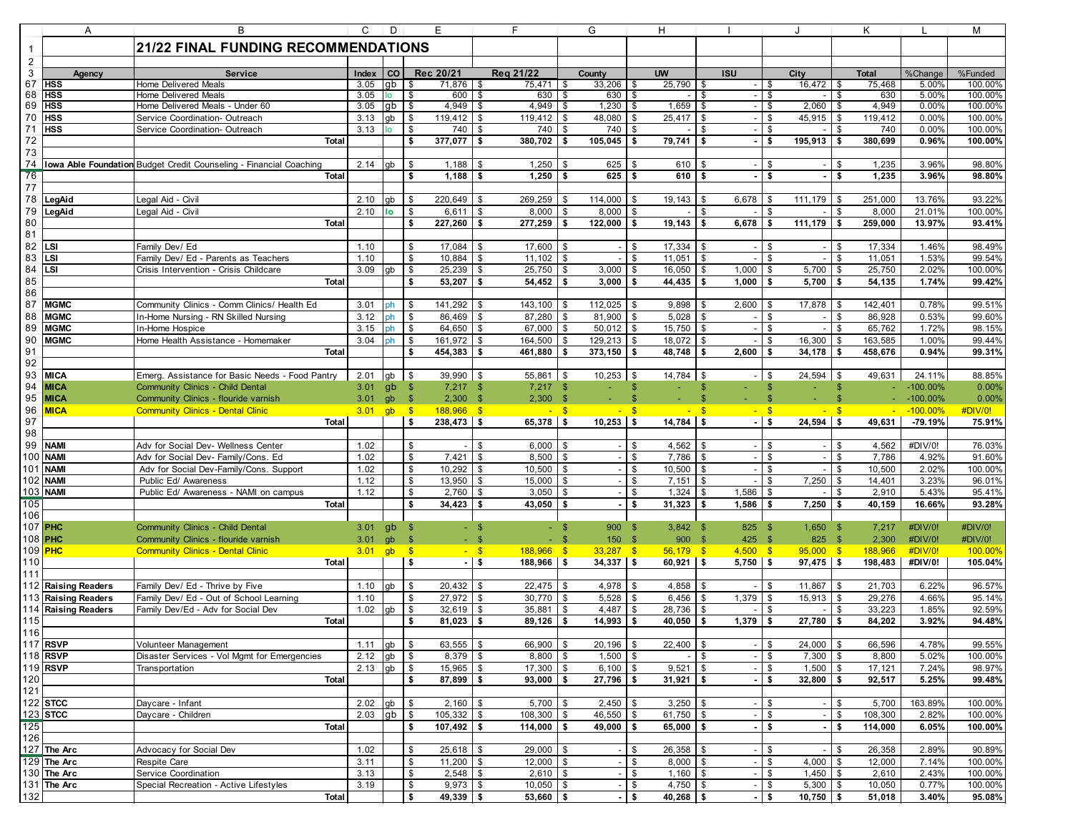|                | Α                      | В                                                                    | С            | D         | Е                                  | F                    | G                                | н                    |                                |                                       | K                            |                | М                 |
|----------------|------------------------|----------------------------------------------------------------------|--------------|-----------|------------------------------------|----------------------|----------------------------------|----------------------|--------------------------------|---------------------------------------|------------------------------|----------------|-------------------|
| $\overline{1}$ |                        | <b>21/22 FINAL FUNDING RECOMMENDATIONS</b>                           |              |           |                                    |                      |                                  |                      |                                |                                       |                              |                |                   |
| $\overline{c}$ |                        |                                                                      |              |           |                                    |                      |                                  |                      |                                |                                       |                              |                |                   |
| $\mathbf{3}$   | Agency                 | <b>Service</b>                                                       | Index        | <b>CO</b> | Rec 20/21                          | Reg 21/22            | County                           | <b>UW</b>            | <b>ISU</b>                     | City                                  | <b>Total</b>                 | %Change        | %Funded           |
| 67             | <b>HSS</b>             | Home Delivered Meals                                                 | 3.05         | gb        | 71,876<br>- \$                     | 75,471<br>l \$       | 33,206<br>\$                     | 25,790<br>\$         | \$<br>$\overline{\phantom{a}}$ | 16,472<br>- \$                        | 75,468<br>\$                 | 5.00%          | 100.00%           |
| 68             | <b>HSS</b>             | Home Delivered Meals                                                 | 3.05         | lo        | 600<br>\$                          | 630<br>- \$          | 630 \$<br>-\$                    |                      | -\$                            | -\$                                   | \$<br>630                    | 5.00%          | 100.00%           |
| 69             | <b>HSS</b>             | Home Delivered Meals - Under 60                                      | 3.05         | gb        | 4,949<br>\$                        | 4,949                | 1,230<br>\$                      | 1,659<br>- \$        | -\$                            | 2,060<br>- \$                         | 4,949<br>\$                  | 0.00%          | 100.00%           |
| 70             | <b>HSS</b>             | Service Coordination- Outreach                                       | 3.13         | gb        | \$<br>119,412                      | 119,412<br>\$        | 48,080<br>\$                     | \$<br>25,417         | \$                             | \$<br>45,915                          | \$<br>119,412                | 0.00%          | 100.00%           |
| 71             | <b>HSS</b>             | Service Coordination- Outreach                                       | 3.13         | lo        | 740<br>\$                          | \$<br>740            | 740<br>\$                        | \$                   | \$                             | \$                                    | \$<br>740                    | 0.00%          | 100.00%           |
| 72             |                        | <b>Total</b>                                                         |              |           | 377,077<br>\$                      | 380,702<br>\$        | 105,045<br>\$                    | \$<br>79,741         | Ŝ.                             | 195,913<br>\$                         | 380,699<br>\$                | 0.96%          | 100.00%           |
| 73             |                        |                                                                      |              |           |                                    |                      |                                  |                      |                                |                                       |                              |                |                   |
| 74             |                        | Iowa Able Foundation Budget Credit Counseling - Financial Coaching   | 2.14         | qb        | 1,188<br>\$                        | 1,250                | 625<br>\$                        | \$<br>610            |                                | \$                                    | \$<br>1,235                  | 3.96%          | 98.80%            |
| 76             |                        | <b>Total</b>                                                         |              |           | \$<br>1,188                        | 1,250<br>- \$        | $625$ \$<br>\$                   | 610                  | - \$                           | \$                                    | \$<br>1,235                  | 3.96%          | 98.80%            |
| 77             |                        |                                                                      |              |           |                                    |                      |                                  |                      |                                |                                       |                              |                |                   |
| 78             | LegAid                 | Legal Aid - Civil                                                    | 2.10         | gb        | 220,649<br>\$                      | 269,259              | 114,000<br>\$                    | 19,143<br>\$         | 6,678<br>-S                    | 111,179<br>- \$                       | 251,000<br>l \$              | 13.76%         | 93.22%            |
| 79             | LegAid                 | Legal Aid - Civil                                                    | 2.10         | l٥        | \$<br>6,611                        | 8,000<br>- \$        | 8,000<br>\$                      | \$                   | \$                             | <sup>\$</sup>                         | \$<br>8,000                  | 21.01%         | 100.00%           |
| 80             |                        | <b>Total</b>                                                         |              |           | 227,260<br>\$                      | \$<br>277,259        | \$<br>122,000                    | 19,143<br>\$         | 6,678<br>-\$                   | 111,179<br>\$                         | \$<br>259,000                | 13.97%         | 93.41%            |
| 81             |                        |                                                                      |              |           |                                    |                      |                                  |                      |                                |                                       |                              |                |                   |
| 82             | LSI                    | Family Dev/ Ed                                                       | 1.10         |           | 17,084<br>\$                       | 17,600<br>\$         | \$                               | 17,334<br>\$         | \$                             | \$                                    | 17,334<br>\$                 | 1.46%          | 98.49%            |
| 83             | LSI                    | Family Dev/ Ed - Parents as Teachers                                 | 1.10         |           | \$<br>10,884                       | 11,102<br>\$         | \$                               | 11,051<br>\$         | \$                             | \$                                    | 11,051<br>\$                 | 1.53%          | 99.54%            |
| 84             | LSI                    | Crisis Intervention - Crisis Childcare                               | 3.09         | qb        | \$<br>25,239                       | 25,750               | \$<br>3,000                      | \$<br>16,050         | $\mathfrak{S}$<br>1.000        | $\mathfrak{s}$<br>5,700               | \$<br>25,750                 | 2.02%          | 100.00%           |
| 85             |                        | Total                                                                |              |           | \$<br>53,207                       | 54,452<br>l \$       | $3,000$ \$<br>S.                 | 44,435               | 1.000<br>-S                    | \$<br>5,700                           | Ŝ.<br>54,135                 | 1.74%          | 99.42%            |
| 86             |                        |                                                                      |              |           |                                    |                      |                                  |                      |                                |                                       |                              |                |                   |
| 87             | <b>MGMC</b>            | Community Clinics - Comm Clinics/ Health Ed                          | 3.01         | ph        | 141,292<br>\$                      | 143,100<br>- \$      | 112,025<br>\$                    | 9,898<br>l \$        | 2,600<br>S.                    | 17,878<br>S.                          | 142,401<br>l \$              | 0.78%          | 99.51%            |
| 88             | <b>MGMC</b>            | In-Home Nursing - RN Skilled Nursing                                 | 3.12         | ph        | 86,469<br>\$                       | 87,280<br>- \$       | $81,900$ \$<br>\$                | 5,028                | \$                             | \$                                    | 86,928<br>\$                 | 0.53%          | 99.60%            |
| 89             | <b>MGMC</b>            | In-Home Hospice                                                      | 3.15         | ph        | \$<br>64,650                       | 67,000               | \$<br>50,012                     | \$<br>15,750         | \$                             | \$                                    | \$<br>65,762                 | 1.72%          | 98.15%            |
| 90             | <b>MGMC</b>            | Home Health Assistance - Homemaker                                   | 3.04         | ph        | - \$<br>161,972                    | 164,500<br><b>S</b>  | 129,213<br>\$                    | 18,072<br>\$         | \$                             | 16,300<br>\$                          | 163,585<br>$\sqrt{3}$        | 1.00%          | 99.44%            |
| 91             |                        | <b>Total</b>                                                         |              |           | \$<br>454,383                      | 461,880<br>- \$      | S.<br>373,150                    | \$<br>48,748         | 2,600                          | 34,178<br>\$                          | Ŝ.<br>458,676                | 0.94%          | 99.31%            |
| 92             |                        |                                                                      |              |           |                                    |                      |                                  |                      |                                |                                       |                              |                |                   |
| 93             | <b>MICA</b>            | Emerg. Assistance for Basic Needs - Food Pantry                      | 2.01         | gb        | 39,990 \$<br>\$                    | 55,861               | 10,253<br>\$                     | 14,784<br>\$         | <b>S</b>                       | 24,594<br>- \$                        | \$<br>49,631                 | 24.11%         | 88.85%            |
| 94             | <b>MICA</b>            | Community Clinics - Child Dental                                     | 3.01         | gb        | $7,217$ \$<br>- \$                 | $7,217$ \$           | $\blacksquare$                   | $\mathsf{\$}$<br>Ξ   | $\mathbf{s}$<br>÷.             | $\mathfrak{s}$                        | $\sqrt[6]{3}$<br>$\sim$ .    | $-100.00\%$    | 0.00%             |
| 95             | <b>MICA</b>            | Community Clinics - flouride varnish                                 | 3.01         | gb        | $^{\circ}$<br>$2,300$ \$           | 2,300                | - \$                             | $\mathbf{s}$         |                                |                                       |                              | $-100.00\%$    | 0.00%             |
| 96             | <b>MICA</b>            | <b>Community Clinics - Dental Clinic</b>                             | 3.01         | gb        | $188,966$ \$<br>$^{\circ}$ \$      |                      | $-$ \$                           | - \$                 | - \$                           | $-$ \$                                | $\mathbf{s}$                 | $-100.00\%$    | #DIV/0!           |
| 97             |                        | Total                                                                |              |           | 238,473 \$<br>-\$                  | 65,378               | $10,253$ \$<br>l S               | $14,784$ \$          |                                | $24,594$ \$<br>$-1$ \$                | 49,631                       | $-79.19%$      | 75.91%            |
| 98             |                        |                                                                      |              |           |                                    |                      |                                  |                      |                                |                                       |                              |                |                   |
| 99             | <b>NAMI</b>            | Adv for Social Dev- Wellness Center                                  | 1.02         |           | \$                                 | 6,000<br>\$          | <b>S</b>                         | $4,562$ \$<br>\$     |                                | - \$                                  | 4,562<br>\$                  | #DIV/0!        | 76.03%            |
| 100            | <b>NAMI</b>            | Adv for Social Dev- Family/Cons. Ed                                  | 1.02         |           | \$<br>7,421                        | 8,500<br>\$          | \$                               | \$<br>7,786          | -S                             | \$                                    | 7,786<br>\$                  | 4.92%          | 91.60%            |
| 101            | <b>NAMI</b>            | Adv for Social Dev-Family/Cons. Support                              | 1.02         |           | \$<br>10,292                       | 10,500<br>\$         | \$                               | \$<br>10,500         | \$                             | \$                                    | \$<br>10,500                 | 2.02%          | 100.00%           |
| 102            | <b>NAMI</b>            | Public Ed/ Awareness                                                 | 1.12         |           | \$<br>13,950                       | 15,000<br>- \$       | \$                               | \$<br>7,151          | \$                             | 7,250<br>\$                           | \$<br>14,401                 | 3.23%          | 96.01%            |
| 103            | <b>NAMI</b>            | Public Ed/ Awareness - NAMI on campus                                | 1.12         |           | \$<br>2,760                        | 3,050<br>\$          | \$                               | \$<br>1,324          | 1,586<br>\$                    | \$                                    | 2,910<br>\$                  | 5.43%          | 95.41%            |
| 105            |                        | <b>Total</b>                                                         |              |           | \$<br>34,423                       | - \$<br>43,050       | \$                               | \$<br>31,323         | 1,586<br>\$                    | \$<br>7,250                           | $\sqrt{3}$<br>40,159         | 16.66%         | 93.28%            |
| 106            |                        |                                                                      |              |           |                                    |                      |                                  |                      |                                |                                       |                              |                |                   |
|                | 107 <b>PHC</b>         | Community Clinics - Child Dental                                     | 3.01         | gb        | - \$<br>- \$                       |                      | 900<br>- \$                      | $3,842$ \$<br>- \$   | 825 \$                         | $1,650$ \$                            | 7,217                        | #DIV/0!        | #DIV/0!           |
|                | 108 <b>PHC</b>         | Community Clinics - flouride varnish                                 | 3.01         | qb        | $^{\circ}$                         |                      | 150<br>-S                        | $^{\circ}$<br>900S   | $425 - $$                      | 825 \$                                | 2,300                        | #DIV/0!        | #DIV/0!           |
|                | 109 <mark>РНС</mark>   | <b>Community Clinics - Dental Clinic</b>                             | $3.01$ gb \$ |           | $-$ \$                             | 188,966              | $\sqrt{3}$<br>$33,287$ \$        | $56,179$ \$          | $4,500$ \$                     | $95,000$ \$                           | 188,966                      | #DIV/0!        | 100.00%           |
| 110            |                        | Total                                                                |              |           | $\sqrt{3}$<br>$-1$ \$              | 188,966              | l \$<br>$34,337$ \$              | $60,921$ \$          | $5,750$ \$                     | $97.475$ \$                           | 198,483                      | #DIV/0!        | 105.04%           |
| 111            |                        |                                                                      |              |           |                                    |                      |                                  |                      |                                |                                       |                              |                |                   |
|                | 112 Raising Readers    | Family Dev/ Ed - Thrive by Five                                      | 1.10         | qb        | 20,432<br>\$                       | 22,475<br><b>S</b>   | \$<br>4,978                      | \$<br>4,858          | - \$                           | 11,867<br>\$                          | <b>S</b><br>21,703           | 6.22%          | 96.57%            |
| 113            | <b>Raising Readers</b> | Family Dev/ Ed - Out of School Learning                              | 1.10         |           | \$<br>27,972                       | 30,770<br>- \$       | 5,528<br>\$                      | \$<br>6,456          | 1,379<br>\$                    | \$<br>15,913                          | $\mathbf{\hat{s}}$<br>29,276 | 4.66%          | 95.14%            |
| 114            | <b>Raising Readers</b> | Family Dev/Ed - Adv for Social Dev                                   | 1.02         | qb        | \$<br>32,619                       | 35,881<br>- \$       | 4,487<br>\$                      | \$<br>28,736         | \$                             | \$                                    | 33,223<br>\$                 | 1.85%          | 92.59%            |
| 115            |                        | <b>Total</b>                                                         |              |           | \$<br>81,023                       | 89,126<br>\$         | \$<br>14,993                     | 40,050<br>\$         | 1,379                          | 27,780<br>\$                          | \$<br>84,202                 | 3.92%          | 94.48%            |
| 116            | 117 RSVP               |                                                                      |              |           |                                    |                      |                                  |                      |                                |                                       |                              |                |                   |
|                | 118 RSVP               | Volunteer Management<br>Disaster Services - Vol Mgmt for Emergencies | 1.11<br>2.12 | gb        | $63,555$ \$<br>  \$<br>$8,379$ \$  | 66,900<br>$8,800$ \$ | $20,196$ \$<br>-\$<br>$1,500$ \$ | 22,400               | - \$<br>\$                     | 24,000<br>- \$<br>\$<br>$7,300$ \$    | l \$<br>66,596<br>8,800      | 4.78%<br>5.02% | 99.55%<br>100.00% |
|                | 119 RSVP               |                                                                      |              | gb \$     |                                    |                      | $6,100$ \$                       |                      |                                |                                       |                              |                |                   |
| 120            |                        | Transportation<br>Total                                              | 2.13         | gb        | l \$<br>$15,965$ \$<br>$87,899$ \$ | 17,300<br>93,000     | \$<br>$27,796$ \$<br><b>S</b>    | 9,521<br>$31,921$ \$ | <b>\$</b>                      | \$<br>$1,500$ \$<br>$32,800$ \$<br>\$ | 17,121<br>92,517             | 7.24%<br>5.25% | 98.97%<br>99.48%  |
|                |                        |                                                                      |              |           | \$                                 |                      |                                  |                      |                                |                                       |                              |                |                   |
| 121            | 122 STCC               |                                                                      | 2.02         | $gb$ \$   | $2,160$ \$                         | 5,700                | $2,450$ \$<br>- \$               | $3,250$ \$           |                                | <b>\$</b>                             | $-$ \$<br>5,700              | 163.89%        | 100.00%           |
|                | 123 STCC               | Daycare - Infant<br>Daycare - Children                               | 2.03         | $gb$ \$   | 105,332 \$                         | 108,300              | 46,550 \$<br><b>\$</b>           | 61,750 \$            |                                | <b>\$</b>                             | $-$ \$<br>108,300            | 2.82%          | 100.00%           |
| 125            |                        | Total                                                                |              |           | $107,492$ \$<br>-\$                | $114,000$ \$         | $49,000$ \$                      | $65,000$ \$          |                                | l \$                                  | $-1$ \$<br>114,000           | 6.05%          | 100.00%           |
| 126            |                        |                                                                      |              |           |                                    |                      |                                  |                      |                                |                                       |                              |                |                   |
|                | 127 The Arc            | Advocacy for Social Dev                                              | 1.02         |           | $25,618$ \$<br>\$                  | $29,000$ \$          |                                  | 26,358<br>\$         | \$                             | \$                                    | 26,358<br>\$                 | 2.89%          | 90.89%            |
|                | $129$ The Arc          | Respite Care                                                         | 3.11         |           | \$<br>$11,200$ \$                  | 12,000               | l \$                             | \$<br>$8,000$ \ \$   |                                | \$<br>$4,000$ \$                      | 12,000                       | 7.14%          | 100.00%           |
|                | 130 The Arc            | Service Coordination                                                 | 3.13         |           | \$<br>$2,548$ \$                   | $2,610$ \$           | $\overline{\phantom{a}}$         | \$<br>$1,160$ \$     |                                | - \$<br>$1,450$ \ \$                  | 2,610                        | 2.43%          | 100.00%           |
|                | 131 The Arc            | Special Recreation - Active Lifestyles                               | 3.19         |           | $9,973$ \$<br>\$                   | $10,050$ \$          |                                  | \$<br>$4,750$ \\$    |                                | \$<br>$5,300$ \ \$                    | 10,050                       | 0.77%          | 100.00%           |
| 132            |                        | <b>Total</b>                                                         |              |           | \$<br>$49,339$ \$                  | $53,660$ \$          |                                  | - \$<br>$40,268$ \$  |                                | $-$ \$<br>$10,750$ \$                 | 51,018                       | 3.40%          | 95.08%            |
|                |                        |                                                                      |              |           |                                    |                      |                                  |                      |                                |                                       |                              |                |                   |